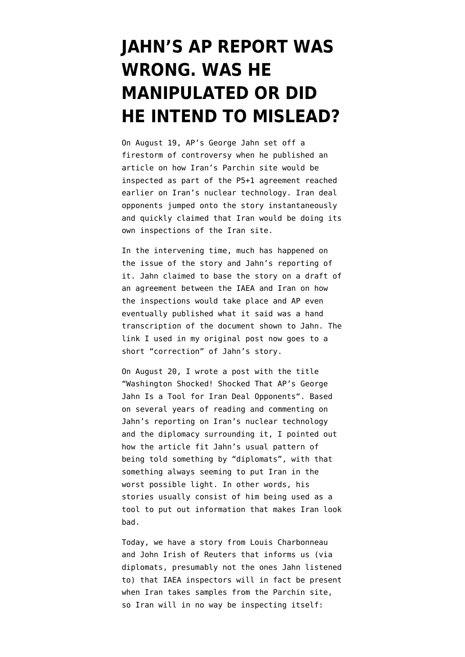## **[JAHN'S AP REPORT WAS](https://www.emptywheel.net/2015/09/11/jahns-ap-report-was-wrong-was-he-manipulated-or-did-he-mean-to-mislead/) [WRONG. WAS HE](https://www.emptywheel.net/2015/09/11/jahns-ap-report-was-wrong-was-he-manipulated-or-did-he-mean-to-mislead/) [MANIPULATED OR DID](https://www.emptywheel.net/2015/09/11/jahns-ap-report-was-wrong-was-he-manipulated-or-did-he-mean-to-mislead/) [HE INTEND TO MISLEAD?](https://www.emptywheel.net/2015/09/11/jahns-ap-report-was-wrong-was-he-manipulated-or-did-he-mean-to-mislead/)**

On August 19, AP's George Jahn set off a firestorm of controversy when he published an article on how Iran's Parchin site would be inspected as part of the P5+1 agreement reached earlier on Iran's nuclear technology. Iran deal opponents jumped onto the story instantaneously and quickly claimed that Iran would be doing its own inspections of the Iran site.

In the intervening time, much has happened on the issue of the story and Jahn's reporting of it. Jahn claimed to base the story on a draft of an agreement between the IAEA and Iran on how the inspections would take place and AP even eventually published what it said was a hand transcription of the document shown to Jahn. The link I used in my original post now goes to a short "correction" of Jahn's story.

On August 20, I wrote a post with the title "[Washington Shocked! Shocked That AP's George](https://www.emptywheel.net/2015/08/20/washington-shocked-shocked-that-aps-george-jahn-is-a-tool-for-iran-deal-opponents/) [Jahn Is a Tool for Iran Deal Opponents"](https://www.emptywheel.net/2015/08/20/washington-shocked-shocked-that-aps-george-jahn-is-a-tool-for-iran-deal-opponents/). Based on [several years of reading and commenting on](https://www.emptywheel.net/tag/george-jahn/) [Jahn's reporting](https://www.emptywheel.net/tag/george-jahn/) on Iran's nuclear technology and the diplomacy surrounding it, I pointed out how the article fit Jahn's usual pattern of being told something by "diplomats", with that something always seeming to put Iran in the worst possible light. In other words, his stories usually consist of him being used as a tool to put out information that makes Iran look bad.

Today, we have a [story from Louis Charbonneau](http://af.reuters.com/article/commoditiesNews/idAFL1N11H1T020150911?sp=true) [and John Irish of Reuters](http://af.reuters.com/article/commoditiesNews/idAFL1N11H1T020150911?sp=true) that informs us (via diplomats, presumably not the ones Jahn listened to) that IAEA inspectors will in fact be present when Iran takes samples from the Parchin site, so Iran will in no way be inspecting itself: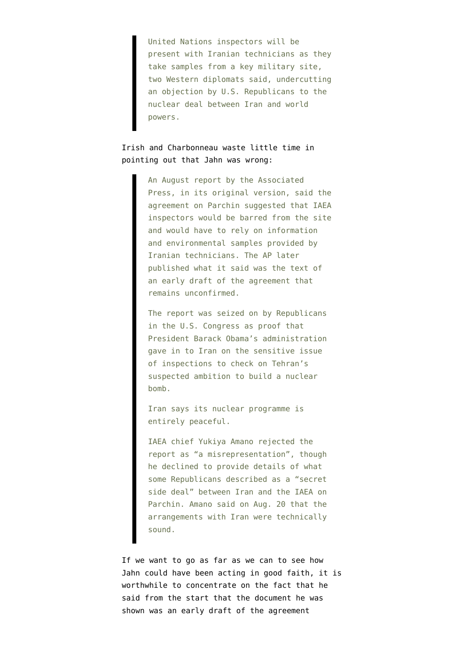United Nations inspectors will be present with Iranian technicians as they take samples from a key military site, two Western diplomats said, undercutting an objection by U.S. Republicans to the nuclear deal between Iran and world powers.

## Irish and Charbonneau waste little time in pointing out that Jahn was wrong:

An August report by the Associated Press, in its original version, said the agreement on Parchin suggested that IAEA inspectors would be barred from the site and would have to rely on information and environmental samples provided by Iranian technicians. The AP later published what it said was the text of an early draft of the agreement that remains unconfirmed.

The report was seized on by Republicans in the U.S. Congress as proof that President Barack Obama's administration gave in to Iran on the sensitive issue of inspections to check on Tehran's suspected ambition to build a nuclear bomb.

Iran says its nuclear programme is entirely peaceful.

IAEA chief Yukiya Amano rejected the report as "a misrepresentation", though he declined to provide details of what some Republicans described as a "secret side deal" between Iran and the IAEA on Parchin. Amano said on Aug. 20 that the arrangements with Iran were technically sound.

If we want to go as far as we can to see how Jahn could have been acting in good faith, it is worthwhile to concentrate on the fact that he said from the start that the document he was shown was an early draft of the agreement